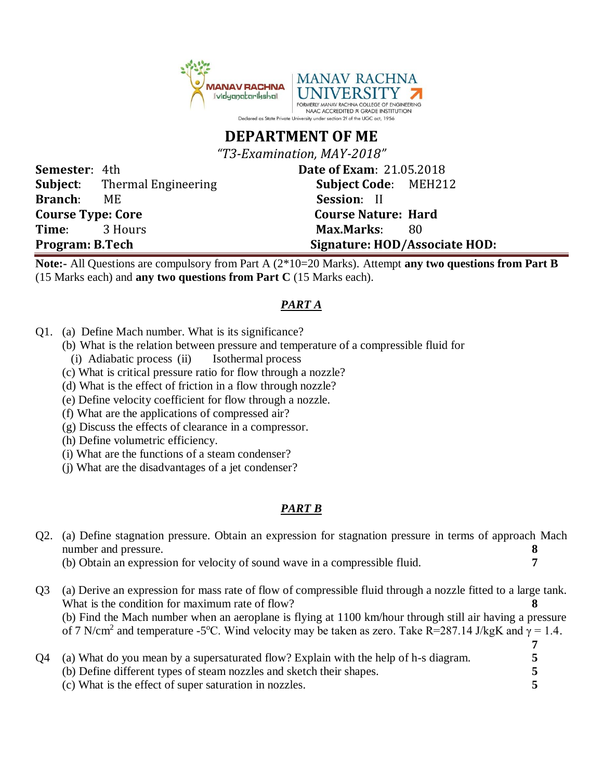

## **DEPARTMENT OF ME**

*"T3-Examination, MAY-2018"*

**Semester**: 4th **Date of Exam**: 21.05.2018 **Subject**: Thermal Engineering **Subject Code**: MEH212 **Branch**: ME **Session**: II **Course Type: Core Course Nature: Hard Time**: 3 Hours **Max.Marks**: 80 Program: B.Tech Signature: HOD/Associate HOD:

**Note:-** All Questions are compulsory from Part A (2\*10=20 Marks). Attempt **any two questions from Part B** (15 Marks each) and **any two questions from Part C** (15 Marks each).

## *PART A*

- Q1. (a) Define Mach number. What is its significance?
	- (b) What is the relation between pressure and temperature of a compressible fluid for
		- (i) Adiabatic process (ii) Isothermal process
	- (c) What is critical pressure ratio for flow through a nozzle?
	- (d) What is the effect of friction in a flow through nozzle?
	- (e) Define velocity coefficient for flow through a nozzle.
	- (f) What are the applications of compressed air?
	- (g) Discuss the effects of clearance in a compressor.
	- (h) Define volumetric efficiency.
	- (i) What are the functions of a steam condenser?
	- (j) What are the disadvantages of a jet condenser?

## *PART B*

| Q <sub>2</sub> . | (a) Define stagnation pressure. Obtain an expression for stagnation pressure in terms of approach Mach<br>number and pressure. |  |  |
|------------------|--------------------------------------------------------------------------------------------------------------------------------|--|--|
|                  | (b) Obtain an expression for velocity of sound wave in a compressible fluid.                                                   |  |  |
| Q <sub>3</sub>   | (a) Derive an expression for mass rate of flow of compressible fluid through a nozzle fitted to a large tank.                  |  |  |
|                  | What is the condition for maximum rate of flow?                                                                                |  |  |
|                  | (b) Find the Mach number when an aeroplane is flying at 1100 km/hour through still air having a pressure                       |  |  |
|                  | of 7 N/cm <sup>2</sup> and temperature -5°C. Wind velocity may be taken as zero. Take R=287.14 J/kgK and $\gamma = 1.4$ .      |  |  |
|                  |                                                                                                                                |  |  |
| Q4               | (a) What do you mean by a supersaturated flow? Explain with the help of h-s diagram.                                           |  |  |
|                  | (b) Define different types of steam nozzles and sketch their shapes.                                                           |  |  |
|                  | (c) What is the effect of super saturation in nozzles.                                                                         |  |  |